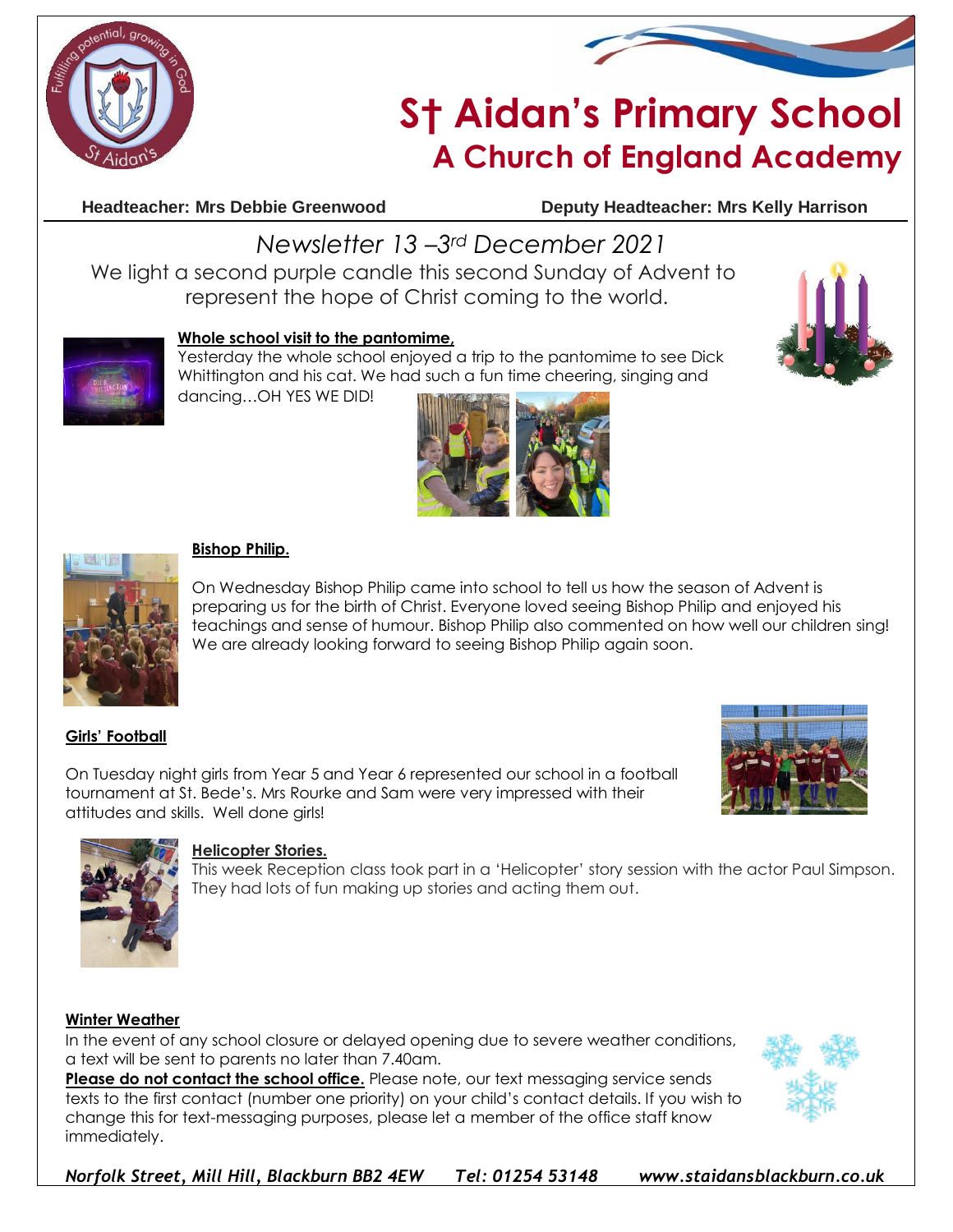



# **S† Aidan's Primary School A Church of England Academy**

**Headteacher: Mrs Debbie Greenwood Deputy Headteacher: Mrs Kelly Harrison**

## *Newsletter 13 –3rd December 2021*

We light a second purple candle this second Sunday of Advent to represent the hope of Christ coming to the world.



### **Whole school visit to the pantomime,**

Yesterday the whole school enjoyed a trip to the pantomime to see Dick Whittington and his cat. We had such a fun time cheering, singing and







#### **Bishop Philip.**

On Wednesday Bishop Philip came into school to tell us how the season of Advent is preparing us for the birth of Christ. Everyone loved seeing Bishop Philip and enjoyed his teachings and sense of humour. Bishop Philip also commented on how well our children sing! We are already looking forward to seeing Bishop Philip again soon.

### **Girls' Football**

On Tuesday night girls from Year 5 and Year 6 represented our school in a football tournament at St. Bede's. Mrs Rourke and Sam were very impressed with their attitudes and skills. Well done girls!





#### **Helicopter Stories.**

This week Reception class took part in a 'Helicopter' story session with the actor Paul Simpson. They had lots of fun making up stories and acting them out.

#### **Winter Weather**

In the event of any school closure or delayed opening due to severe weather conditions, a text will be sent to parents no later than 7.40am.

**Please do not contact the school office.** Please note, our text messaging service sends texts to the first contact (number one priority) on your child's contact details. If you wish to change this for text-messaging purposes, please let a member of the office staff know immediately.



*Norfolk Street, Mill Hill, Blackburn BB2 4EW Tel: 01254 53148 www.staidansblackburn.co.uk*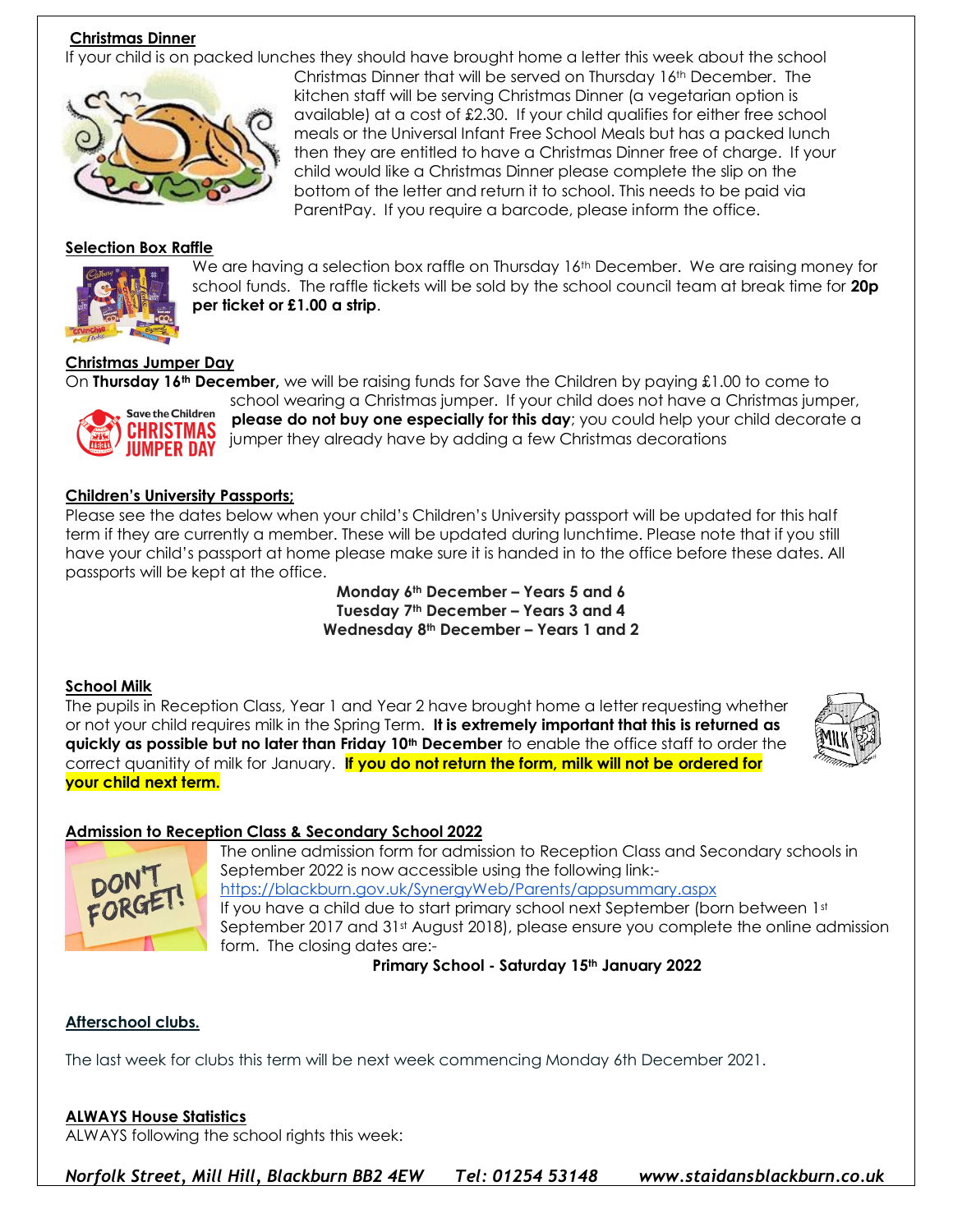#### **Christmas Dinner**

If your child is on packed lunches they should have brought home a letter this week about the school Christmas Dinner that will be served on Thursday 16th December. The



#### **Selection Box Raffle**



We are having a selection box raffle on Thursday 16<sup>th</sup> December. We are raising money for school funds. The raffle tickets will be sold by the school council team at break time for **20p per ticket or £1.00 a strip**.

#### **Christmas Jumper Day**

On **Thursday 16th December,** we will be raising funds for Save the Children by paying £1.00 to come to



school wearing a Christmas jumper. If your child does not have a Christmas jumper, **please do not buy one especially for this day**; you could help your child decorate a jumper they already have by adding a few Christmas decorations

#### **Children's University Passports;**

Please see the dates below when your child's Children's University passport will be updated for this half term if they are currently a member. These will be updated during lunchtime. Please note that if you still have your child's passport at home please make sure it is handed in to the office before these dates. All passports will be kept at the office.

> **Monday 6th December – Years 5 and 6 Tuesday 7th December – Years 3 and 4 Wednesday 8th December – Years 1 and 2**

#### **School Milk**

The pupils in Reception Class, Year 1 and Year 2 have brought home a letter requesting whether or not your child requires milk in the Spring Term. **It is extremely important that this is returned as quickly as possible but no later than Friday 10th December** to enable the office staff to order the correct quanitity of milk for January. **If you do not return the form, milk will not be ordered for your child next term.**



#### **Admission to Reception Class & Secondary School 2022**



The online admission form for admission to Reception Class and Secondary schools in September 2022 is now accessible using the following link: <https://blackburn.gov.uk/SynergyWeb/Parents/appsummary.aspx> If you have a child due to start primary school next September (born between 1st September 2017 and 31<sup>st</sup> August 2018), please ensure you complete the online admission form. The closing dates are:-

**Primary School - Saturday 15th January 2022**

#### **Afterschool clubs.**

The last week for clubs this term will be next week commencing Monday 6th December 2021.

#### **ALWAYS House Statistics**

ALWAYS following the school rights this week:

*Norfolk Street, Mill Hill, Blackburn BB2 4EW Tel: 01254 53148 www.staidansblackburn.co.uk*